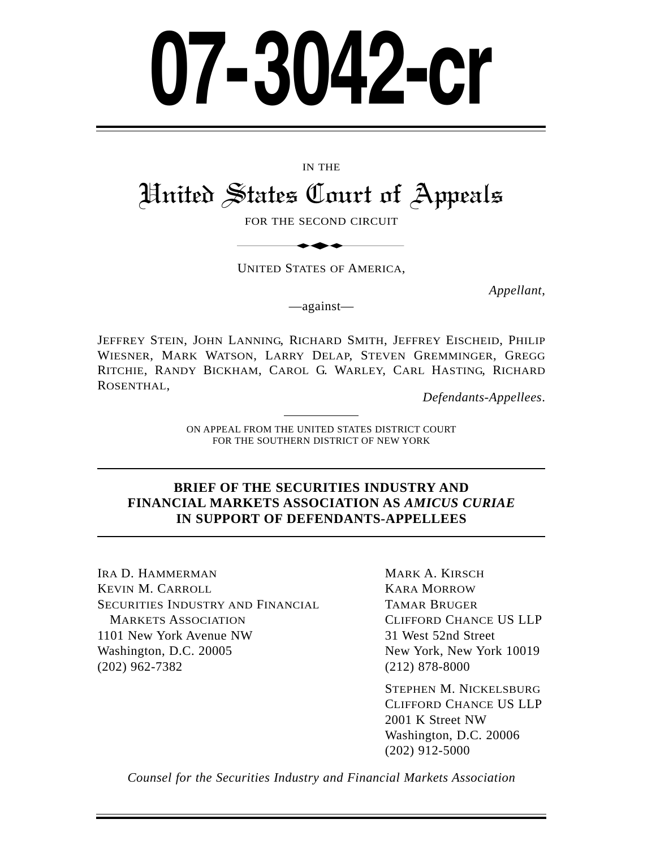# **07-3042-cr**

#### IN THE

# United States Court of Appeals IN THE<br>
States Court of<br>
FOR THE SECOND CIRCUIT<br>
UNITED STATES OF AMERICA,

FOR THE SECOND CIRCUIT

UNITED STATES OF AMERICA,

*Appellant*,

—against—

JEFFREY STEIN, JOHN LANNING, RICHARD SMITH, JEFFREY EISCHEID, PHILIP WIESNER, MARK WATSON, LARRY DELAP, STEVEN GREMMINGER, GREGG RITCHIE, RANDY BICKHAM, CAROL G. WARLEY, CARL HASTING, RICHARD ROSENTHAL,<br>*Defendants-Appellees.* 

ON APPEAL FROM THE UNITED STATES DISTRICT COURT FOR THE SOUTHERN DISTRICT OF NEW YORK

#### **BRIEF OF THE SECURITIES INDUSTRY AND FINANCIAL MARKETS ASSOCIATION AS** *AMICUS CURIAE*  **IN SUPPORT OF DEFENDANTS-APPELLEES**

IRA D. HAMMERMAN KEVIN M. CARROLL SECURITIES INDUSTRY AND FINANCIAL MARKETS ASSOCIATION 1101 New York Avenue NW Washington, D.C. 20005 (202) 962-7382

MARK A. KIRSCH KARA MORROW TAMAR BRUGER CLIFFORD CHANCE US LLP 31 West 52nd Street New York, New York 10019 (212) 878-8000

STEPHEN M. NICKELSBURG CLIFFORD CHANCE US LLP 2001 K Street NW Washington, D.C. 20006 (202) 912-5000

*Counsel for the Securities Industry and Financial Markets Association*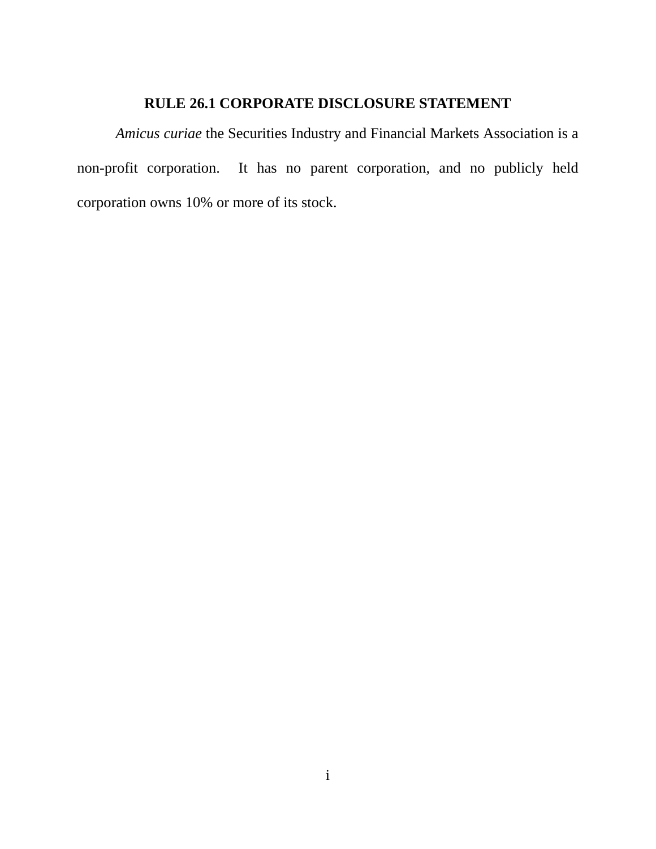### **RULE 26.1 CORPORATE DISCLOSURE STATEMENT**

*Amicus curiae* the Securities Industry and Financial Markets Association is a non-profit corporation. It has no parent corporation, and no publicly held corporation owns 10% or more of its stock.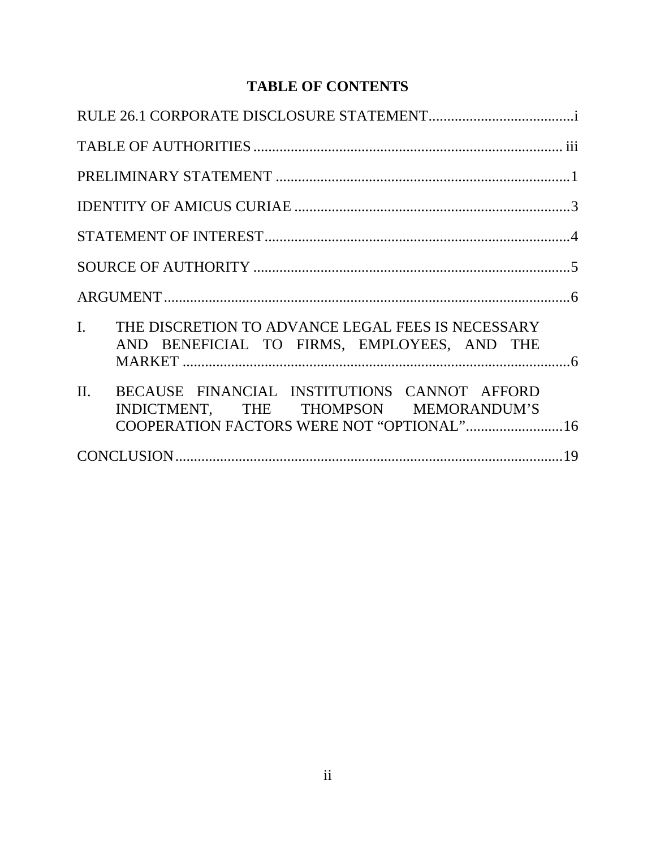## **TABLE OF CONTENTS**

| I. THE DISCRETION TO ADVANCE LEGAL FEES IS NECESSARY<br>AND BENEFICIAL TO FIRMS, EMPLOYEES, AND THE                                        |
|--------------------------------------------------------------------------------------------------------------------------------------------|
| II.<br>BECAUSE FINANCIAL INSTITUTIONS CANNOT AFFORD<br>INDICTMENT, THE THOMPSON MEMORANDUM'S<br>COOPERATION FACTORS WERE NOT "OPTIONAL" 16 |
|                                                                                                                                            |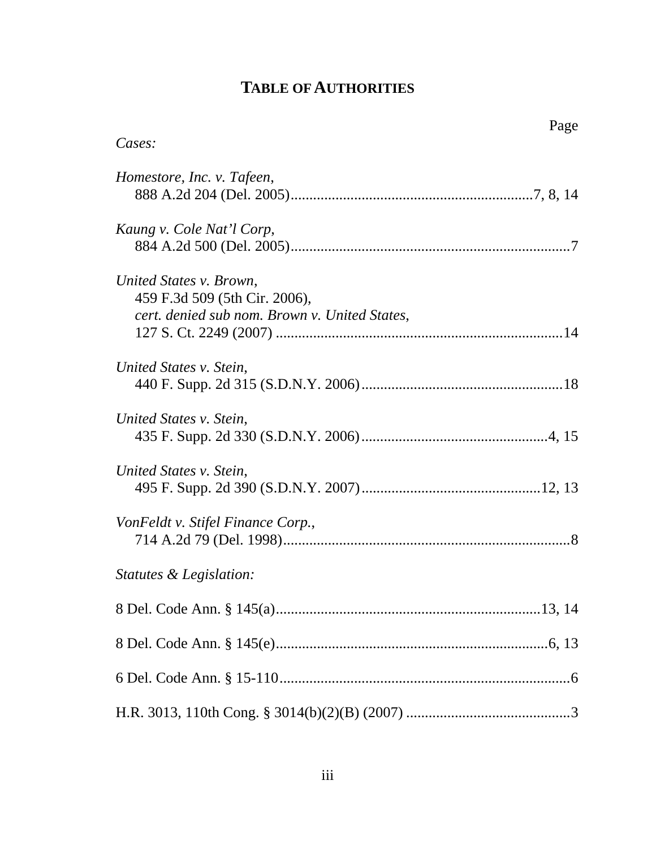# **TABLE OF AUTHORITIES**

| Page                                                                                                      |  |
|-----------------------------------------------------------------------------------------------------------|--|
| Cases:                                                                                                    |  |
| Homestore, Inc. v. Tafeen,                                                                                |  |
| Kaung v. Cole Nat'l Corp,                                                                                 |  |
| United States v. Brown,<br>459 F.3d 509 (5th Cir. 2006),<br>cert. denied sub nom. Brown v. United States, |  |
| United States v. Stein,                                                                                   |  |
| United States v. Stein,                                                                                   |  |
| United States v. Stein,                                                                                   |  |
| VonFeldt v. Stifel Finance Corp.,                                                                         |  |
| <i>Statutes &amp; Legislation:</i>                                                                        |  |
|                                                                                                           |  |
|                                                                                                           |  |
|                                                                                                           |  |
|                                                                                                           |  |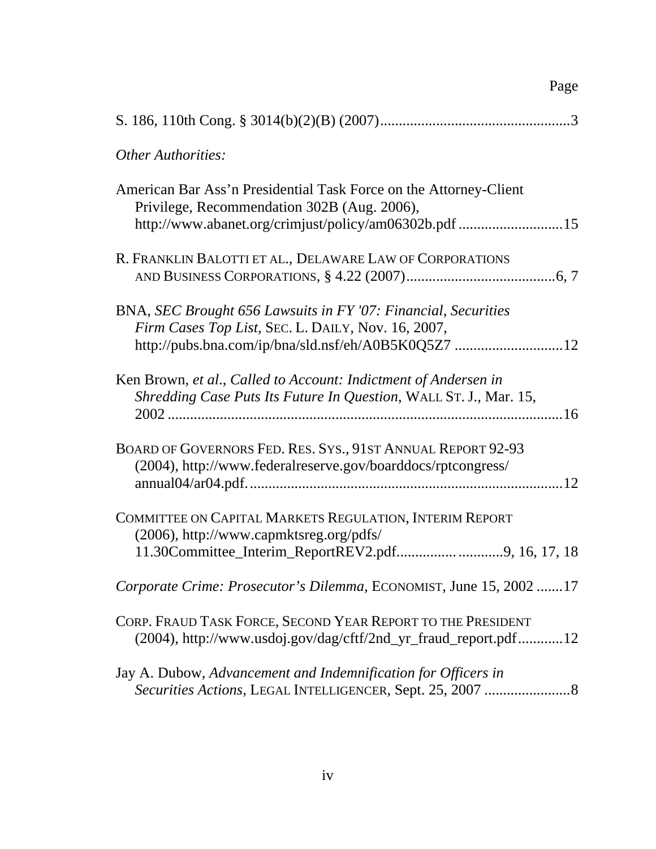| <b>Other Authorities:</b>                                                                                                                                                 |
|---------------------------------------------------------------------------------------------------------------------------------------------------------------------------|
| American Bar Ass'n Presidential Task Force on the Attorney-Client<br>Privilege, Recommendation 302B (Aug. 2006),<br>http://www.abanet.org/crimjust/policy/am06302b.pdf 15 |
| R. FRANKLIN BALOTTI ET AL., DELAWARE LAW OF CORPORATIONS                                                                                                                  |
| BNA, SEC Brought 656 Lawsuits in FY '07: Financial, Securities<br>Firm Cases Top List, SEC. L. DAILY, Nov. 16, 2007,                                                      |
| Ken Brown, et al., Called to Account: Indictment of Andersen in<br>Shredding Case Puts Its Future In Question, WALL ST. J., Mar. 15,                                      |
| BOARD OF GOVERNORS FED. RES. SYS., 91ST ANNUAL REPORT 92-93<br>(2004), http://www.federalreserve.gov/boarddocs/rptcongress/                                               |
| COMMITTEE ON CAPITAL MARKETS REGULATION, INTERIM REPORT<br>(2006), http://www.capmktsreg.org/pdfs/<br>11.30Committee_Interim_ReportREV2.pdf9, 16, 17, 18                  |
| Corporate Crime: Prosecutor's Dilemma, ECONOMIST, June 15, 2002 17                                                                                                        |
| CORP. FRAUD TASK FORCE, SECOND YEAR REPORT TO THE PRESIDENT<br>(2004), http://www.usdoj.gov/dag/cftf/2nd_yr_fraud_report.pdf12                                            |
| Jay A. Dubow, Advancement and Indemnification for Officers in<br>Securities Actions, LEGAL INTELLIGENCER, Sept. 25, 2007  8                                               |

Page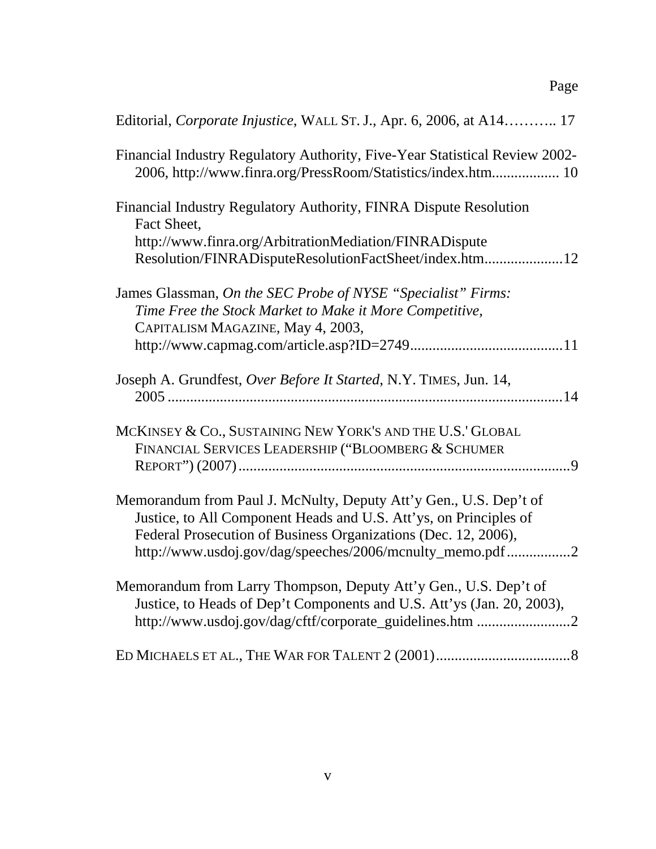| Editorial, Corporate Injustice, WALL ST. J., Apr. 6, 2006, at A14 17                                                                        |
|---------------------------------------------------------------------------------------------------------------------------------------------|
| Financial Industry Regulatory Authority, Five-Year Statistical Review 2002-<br>2006, http://www.finra.org/PressRoom/Statistics/index.htm 10 |
| Financial Industry Regulatory Authority, FINRA Dispute Resolution<br>Fact Sheet,                                                            |
| http://www.finra.org/ArbitrationMediation/FINRADispute                                                                                      |
| Resolution/FINRADisputeResolutionFactSheet/index.htm 12                                                                                     |
| James Glassman, On the SEC Probe of NYSE "Specialist" Firms:                                                                                |
| Time Free the Stock Market to Make it More Competitive,                                                                                     |
| CAPITALISM MAGAZINE, May 4, 2003,                                                                                                           |
|                                                                                                                                             |
| Joseph A. Grundfest, Over Before It Started, N.Y. TIMES, Jun. 14,                                                                           |
|                                                                                                                                             |
| MCKINSEY & CO., SUSTAINING NEW YORK'S AND THE U.S.' GLOBAL                                                                                  |
| FINANCIAL SERVICES LEADERSHIP ("BLOOMBERG & SCHUMER                                                                                         |
|                                                                                                                                             |
| Memorandum from Paul J. McNulty, Deputy Att'y Gen., U.S. Dep't of                                                                           |
| Justice, to All Component Heads and U.S. Att'ys, on Principles of                                                                           |
| Federal Prosecution of Business Organizations (Dec. 12, 2006),                                                                              |
| http://www.usdoj.gov/dag/speeches/2006/mcnulty_memo.pdf 2                                                                                   |
| Memorandum from Larry Thompson, Deputy Att'y Gen., U.S. Dep't of<br>Justice, to Heads of Dep't Components and U.S. Att'ys (Jan. 20, 2003),  |
| http://www.usdoj.gov/dag/cftf/corporate_guidelines.htm 2                                                                                    |
|                                                                                                                                             |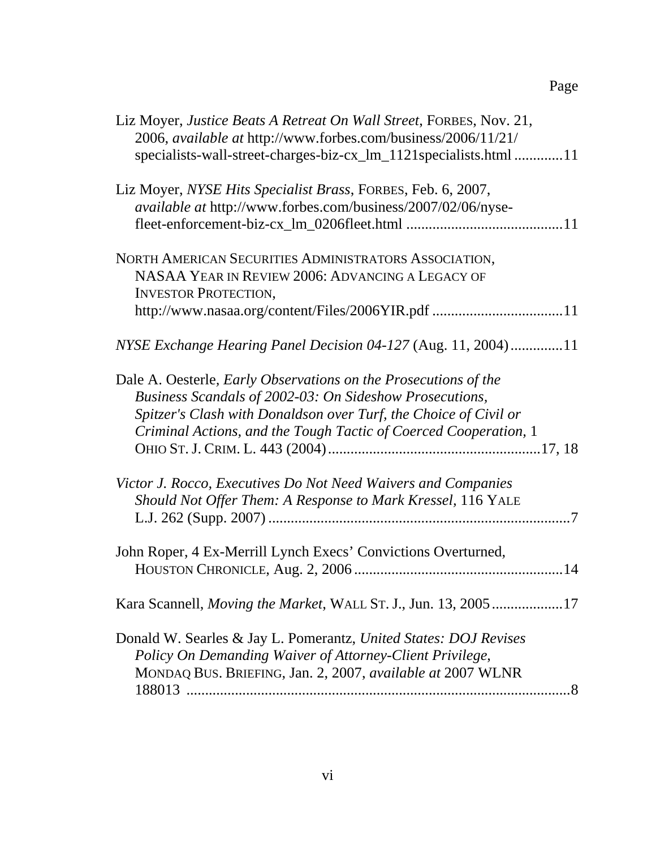# Page

| Liz Moyer, Justice Beats A Retreat On Wall Street, FORBES, Nov. 21,<br>2006, available at http://www.forbes.com/business/2006/11/21/<br>specialists-wall-street-charges-biz-cx_lm_1121specialists.html 11                                                                 |
|---------------------------------------------------------------------------------------------------------------------------------------------------------------------------------------------------------------------------------------------------------------------------|
| Liz Moyer, NYSE Hits Specialist Brass, FORBES, Feb. 6, 2007,<br><i>available at http://www.forbes.com/business/2007/02/06/nyse-</i>                                                                                                                                       |
| NORTH AMERICAN SECURITIES ADMINISTRATORS ASSOCIATION,<br>NASAA YEAR IN REVIEW 2006: ADVANCING A LEGACY OF<br><b>INVESTOR PROTECTION,</b><br>http://www.nasaa.org/content/Files/2006YIR.pdf 11                                                                             |
| NYSE Exchange Hearing Panel Decision 04-127 (Aug. 11, 2004)11                                                                                                                                                                                                             |
| Dale A. Oesterle, <i>Early Observations on the Prosecutions of the</i><br>Business Scandals of 2002-03: On Sideshow Prosecutions,<br>Spitzer's Clash with Donaldson over Turf, the Choice of Civil or<br>Criminal Actions, and the Tough Tactic of Coerced Cooperation, 1 |
| Victor J. Rocco, Executives Do Not Need Waivers and Companies<br>Should Not Offer Them: A Response to Mark Kressel, 116 YALE                                                                                                                                              |
| John Roper, 4 Ex-Merrill Lynch Execs' Convictions Overturned,                                                                                                                                                                                                             |
| Kara Scannell, Moving the Market, WALL ST. J., Jun. 13, 200517                                                                                                                                                                                                            |
| Donald W. Searles & Jay L. Pomerantz, United States: DOJ Revises<br>Policy On Demanding Waiver of Attorney-Client Privilege,<br>MONDAQ BUS. BRIEFING, Jan. 2, 2007, available at 2007 WLNR                                                                                |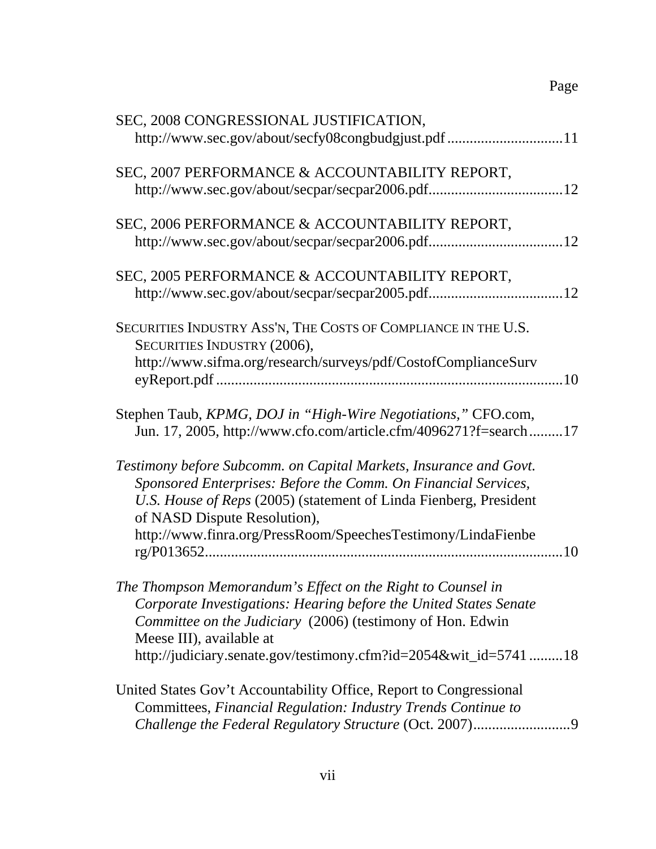| SEC, 2008 CONGRESSIONAL JUSTIFICATION,                                                            |
|---------------------------------------------------------------------------------------------------|
| http://www.sec.gov/about/secfy08congbudgjust.pdf 11                                               |
| SEC, 2007 PERFORMANCE & ACCOUNTABILITY REPORT,                                                    |
|                                                                                                   |
| SEC, 2006 PERFORMANCE & ACCOUNTABILITY REPORT,                                                    |
|                                                                                                   |
| SEC, 2005 PERFORMANCE & ACCOUNTABILITY REPORT,                                                    |
|                                                                                                   |
| SECURITIES INDUSTRY ASS'N, THE COSTS OF COMPLIANCE IN THE U.S.<br>SECURITIES INDUSTRY (2006),     |
| http://www.sifma.org/research/surveys/pdf/CostofComplianceSurv                                    |
| Stephen Taub, KPMG, DOJ in "High-Wire Negotiations," CFO.com,                                     |
| Jun. 17, 2005, http://www.cfo.com/article.cfm/4096271?f=search17                                  |
| Testimony before Subcomm. on Capital Markets, Insurance and Govt.                                 |
| Sponsored Enterprises: Before the Comm. On Financial Services,                                    |
| U.S. House of Reps (2005) (statement of Linda Fienberg, President<br>of NASD Dispute Resolution), |
| http://www.finra.org/PressRoom/SpeechesTestimony/LindaFienbe                                      |
|                                                                                                   |
| The Thompson Memorandum's Effect on the Right to Counsel in                                       |
| Corporate Investigations: Hearing before the United States Senate                                 |
| Committee on the Judiciary (2006) (testimony of Hon. Edwin<br>Meese III), available at            |
| http://judiciary.senate.gov/testimony.cfm?id=2054&wit_id=574118                                   |
| United States Gov't Accountability Office, Report to Congressional                                |
| Committees, Financial Regulation: Industry Trends Continue to                                     |
| Challenge the Federal Regulatory Structure (Oct. 2007)9                                           |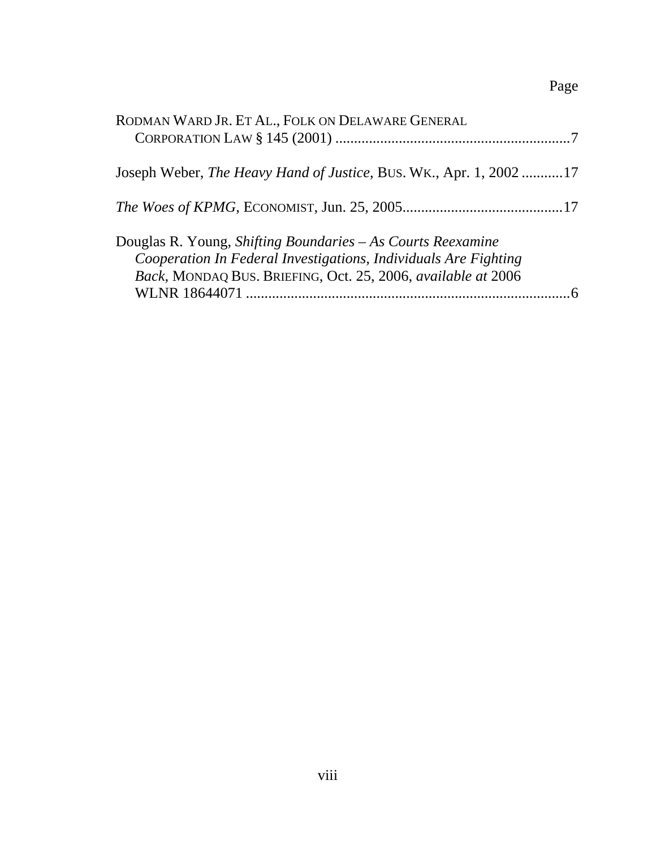# Page

| RODMAN WARD JR. ET AL., FOLK ON DELAWARE GENERAL                                                                                                                                               |  |
|------------------------------------------------------------------------------------------------------------------------------------------------------------------------------------------------|--|
| Joseph Weber, <i>The Heavy Hand of Justice</i> , BUS. WK., Apr. 1, 2002 17                                                                                                                     |  |
|                                                                                                                                                                                                |  |
| Douglas R. Young, Shifting Boundaries – As Courts Reexamine<br>Cooperation In Federal Investigations, Individuals Are Fighting<br>Back, MONDAQ BUS. BRIEFING, Oct. 25, 2006, available at 2006 |  |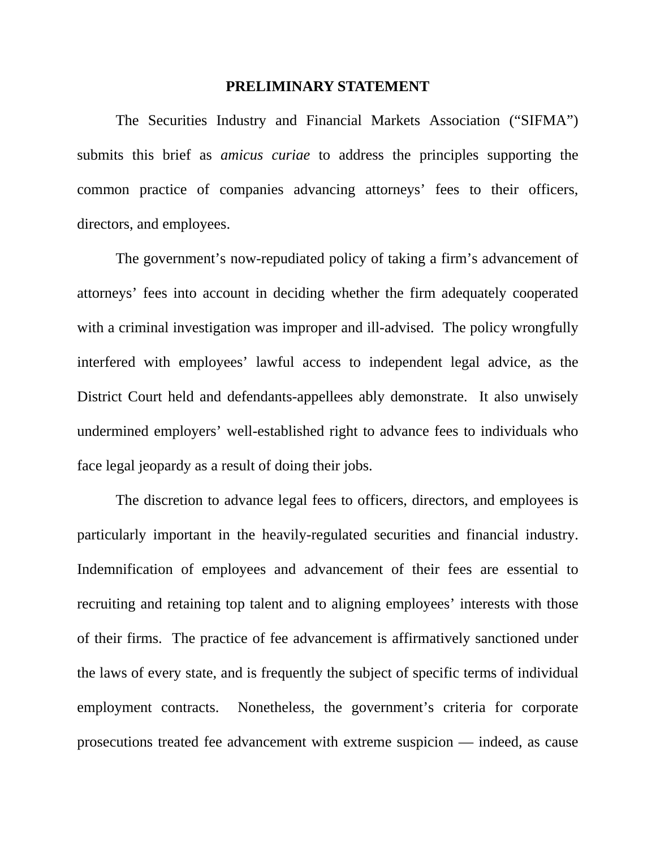#### **PRELIMINARY STATEMENT**

 The Securities Industry and Financial Markets Association ("SIFMA") submits this brief as *amicus curiae* to address the principles supporting the common practice of companies advancing attorneys' fees to their officers, directors, and employees.

 The government's now-repudiated policy of taking a firm's advancement of attorneys' fees into account in deciding whether the firm adequately cooperated with a criminal investigation was improper and ill-advised. The policy wrongfully interfered with employees' lawful access to independent legal advice, as the District Court held and defendants-appellees ably demonstrate. It also unwisely undermined employers' well-established right to advance fees to individuals who face legal jeopardy as a result of doing their jobs.

 The discretion to advance legal fees to officers, directors, and employees is particularly important in the heavily-regulated securities and financial industry. Indemnification of employees and advancement of their fees are essential to recruiting and retaining top talent and to aligning employees' interests with those of their firms. The practice of fee advancement is affirmatively sanctioned under the laws of every state, and is frequently the subject of specific terms of individual employment contracts. Nonetheless, the government's criteria for corporate prosecutions treated fee advancement with extreme suspicion — indeed, as cause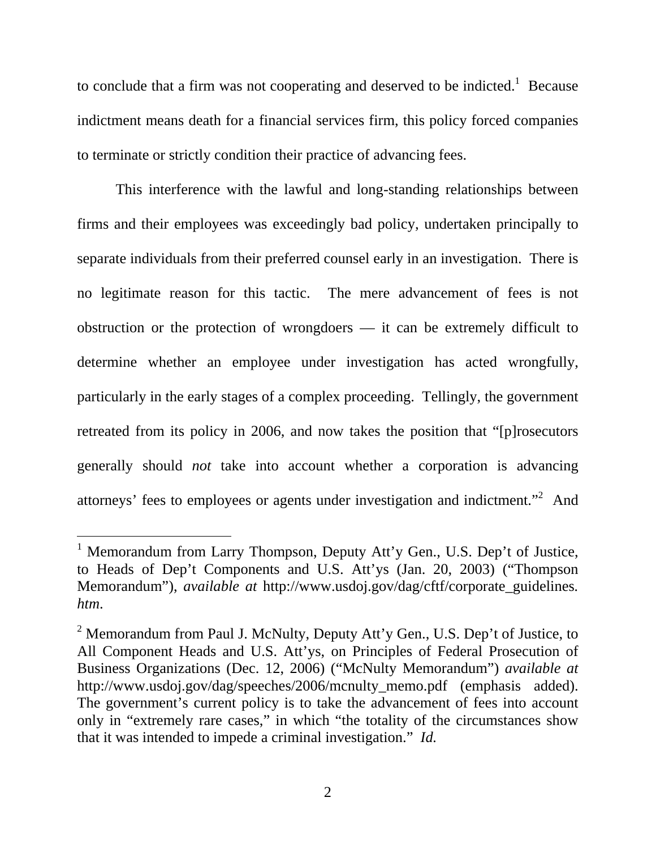to conclude that a firm was not cooperating and deserved to be indicted.<sup>1</sup> Because indictment means death for a financial services firm, this policy forced companies to terminate or strictly condition their practice of advancing fees.

 This interference with the lawful and long-standing relationships between firms and their employees was exceedingly bad policy, undertaken principally to separate individuals from their preferred counsel early in an investigation. There is no legitimate reason for this tactic. The mere advancement of fees is not obstruction or the protection of wrongdoers — it can be extremely difficult to determine whether an employee under investigation has acted wrongfully, particularly in the early stages of a complex proceeding. Tellingly, the government retreated from its policy in 2006, and now takes the position that "[p]rosecutors generally should *not* take into account whether a corporation is advancing attorneys' fees to employees or agents under investigation and indictment. $^{2}$  And

<sup>&</sup>lt;sup>1</sup> Memorandum from Larry Thompson, Deputy Att'y Gen., U.S. Dep't of Justice, to Heads of Dep't Components and U.S. Att'ys (Jan. 20, 2003) ("Thompson Memorandum"), *available at* http://www.usdoj.gov/dag/cftf/corporate\_guidelines*. htm*.

<sup>&</sup>lt;sup>2</sup> Memorandum from Paul J. McNulty, Deputy Att'y Gen., U.S. Dep't of Justice, to All Component Heads and U.S. Att'ys, on Principles of Federal Prosecution of Business Organizations (Dec. 12, 2006) ("McNulty Memorandum") *available at*  http://www.usdoj.gov/dag/speeches/2006/mcnulty\_memo.pdf (emphasis added). The government's current policy is to take the advancement of fees into account only in "extremely rare cases," in which "the totality of the circumstances show that it was intended to impede a criminal investigation." *Id.*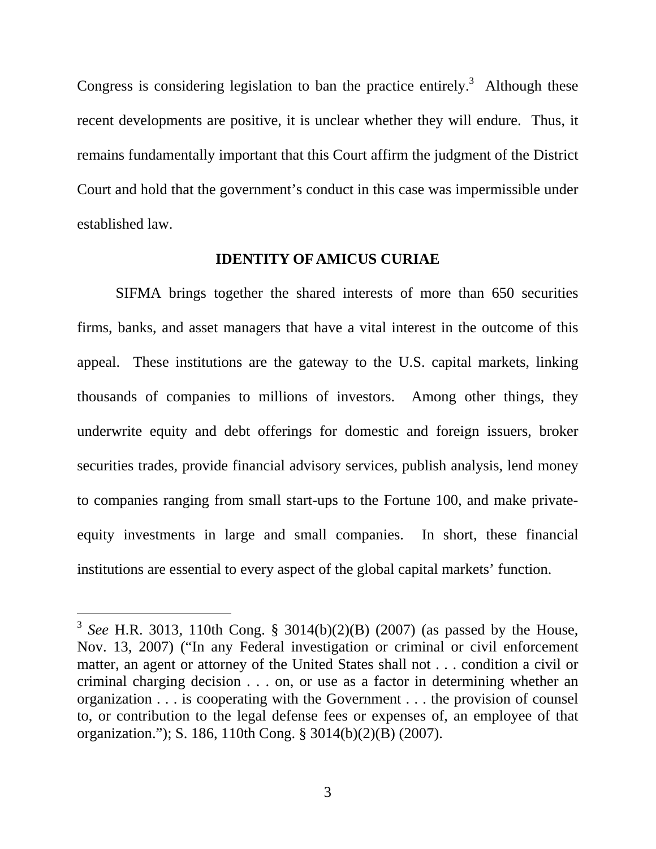Congress is considering legislation to ban the practice entirely.<sup>3</sup> Although these recent developments are positive, it is unclear whether they will endure. Thus, it remains fundamentally important that this Court affirm the judgment of the District Court and hold that the government's conduct in this case was impermissible under established law.

#### **IDENTITY OF AMICUS CURIAE**

 SIFMA brings together the shared interests of more than 650 securities firms, banks, and asset managers that have a vital interest in the outcome of this appeal. These institutions are the gateway to the U.S. capital markets, linking thousands of companies to millions of investors. Among other things, they underwrite equity and debt offerings for domestic and foreign issuers, broker securities trades, provide financial advisory services, publish analysis, lend money to companies ranging from small start-ups to the Fortune 100, and make privateequity investments in large and small companies. In short, these financial institutions are essential to every aspect of the global capital markets' function.

l

<sup>3</sup> *See* H.R. 3013, 110th Cong. § 3014(b)(2)(B) (2007) (as passed by the House, Nov. 13, 2007) ("In any Federal investigation or criminal or civil enforcement matter, an agent or attorney of the United States shall not . . . condition a civil or criminal charging decision . . . on, or use as a factor in determining whether an organization . . . is cooperating with the Government . . . the provision of counsel to, or contribution to the legal defense fees or expenses of, an employee of that organization."); S. 186, 110th Cong. § 3014(b)(2)(B) (2007).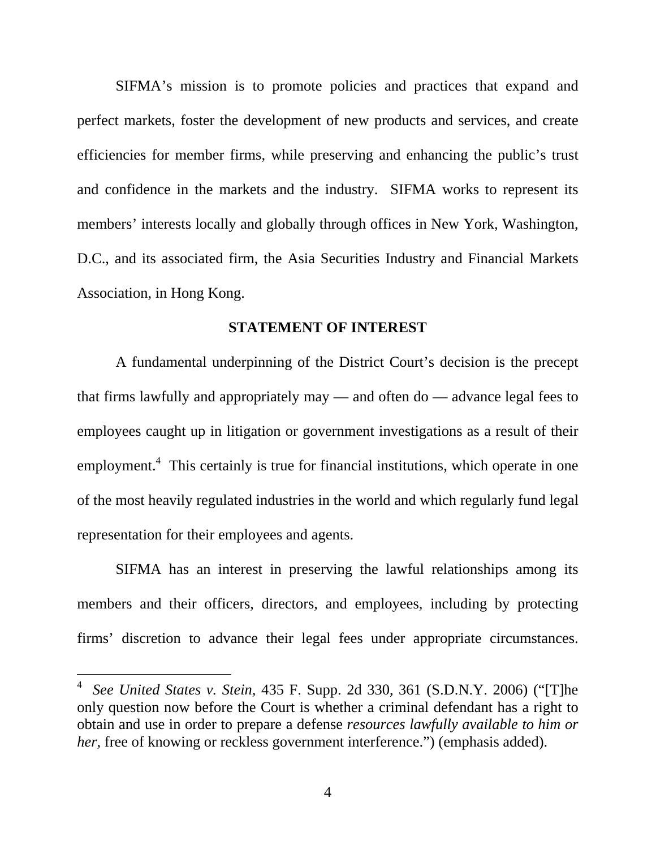SIFMA's mission is to promote policies and practices that expand and perfect markets, foster the development of new products and services, and create efficiencies for member firms, while preserving and enhancing the public's trust and confidence in the markets and the industry. SIFMA works to represent its members' interests locally and globally through offices in New York, Washington, D.C., and its associated firm, the Asia Securities Industry and Financial Markets Association, in Hong Kong.

#### **STATEMENT OF INTEREST**

 A fundamental underpinning of the District Court's decision is the precept that firms lawfully and appropriately may — and often do — advance legal fees to employees caught up in litigation or government investigations as a result of their employment.<sup>4</sup> This certainly is true for financial institutions, which operate in one of the most heavily regulated industries in the world and which regularly fund legal representation for their employees and agents.

 SIFMA has an interest in preserving the lawful relationships among its members and their officers, directors, and employees, including by protecting firms' discretion to advance their legal fees under appropriate circumstances.

<sup>4</sup> *See United States v. Stein*, 435 F. Supp. 2d 330, 361 (S.D.N.Y. 2006) ("[T]he only question now before the Court is whether a criminal defendant has a right to obtain and use in order to prepare a defense *resources lawfully available to him or her*, free of knowing or reckless government interference.") (emphasis added).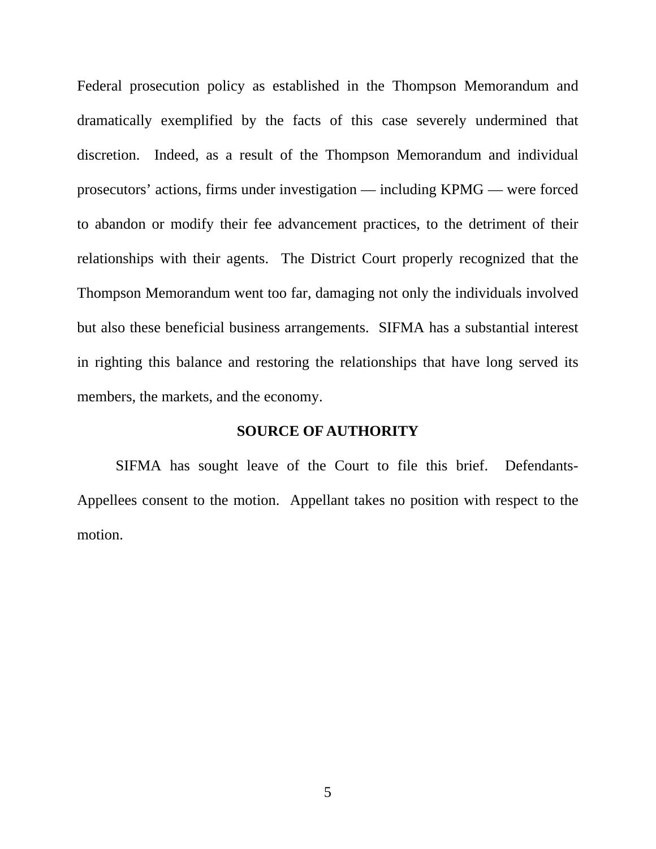Federal prosecution policy as established in the Thompson Memorandum and dramatically exemplified by the facts of this case severely undermined that discretion. Indeed, as a result of the Thompson Memorandum and individual prosecutors' actions, firms under investigation — including KPMG — were forced to abandon or modify their fee advancement practices, to the detriment of their relationships with their agents. The District Court properly recognized that the Thompson Memorandum went too far, damaging not only the individuals involved but also these beneficial business arrangements. SIFMA has a substantial interest in righting this balance and restoring the relationships that have long served its members, the markets, and the economy.

#### **SOURCE OF AUTHORITY**

SIFMA has sought leave of the Court to file this brief. Defendants-Appellees consent to the motion. Appellant takes no position with respect to the motion.

5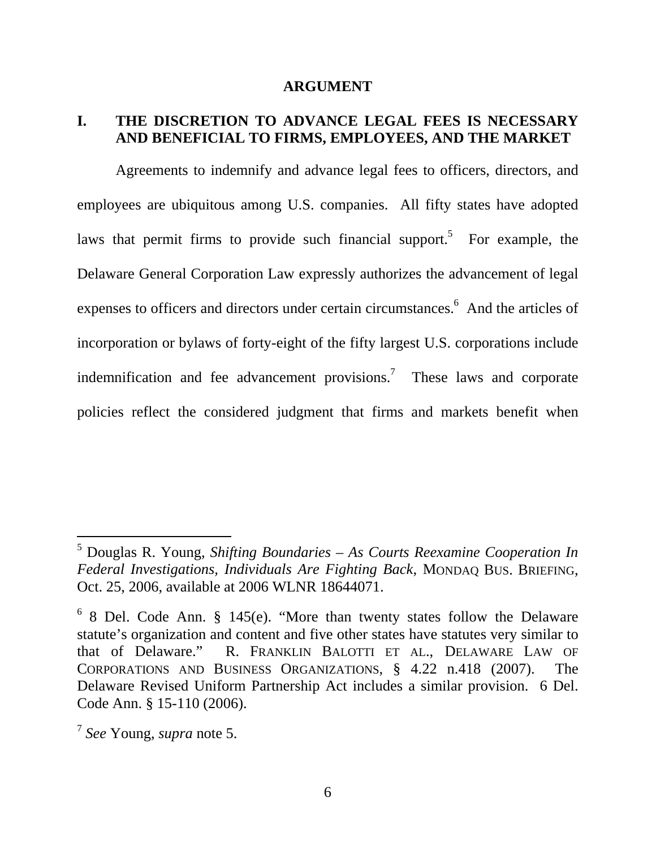#### **ARGUMENT**

#### **I. THE DISCRETION TO ADVANCE LEGAL FEES IS NECESSARY AND BENEFICIAL TO FIRMS, EMPLOYEES, AND THE MARKET**

Agreements to indemnify and advance legal fees to officers, directors, and employees are ubiquitous among U.S. companies. All fifty states have adopted laws that permit firms to provide such financial support.<sup>5</sup> For example, the Delaware General Corporation Law expressly authorizes the advancement of legal expenses to officers and directors under certain circumstances.<sup>6</sup> And the articles of incorporation or bylaws of forty-eight of the fifty largest U.S. corporations include indemnification and fee advancement provisions.<sup>7</sup> These laws and corporate policies reflect the considered judgment that firms and markets benefit when

 $\overline{a}$ 

<sup>5</sup> Douglas R. Young, *Shifting Boundaries – As Courts Reexamine Cooperation In Federal Investigations, Individuals Are Fighting Back*, MONDAQ BUS. BRIEFING, Oct. 25, 2006, available at 2006 WLNR 18644071.

 $68$  Del. Code Ann. § 145(e). "More than twenty states follow the Delaware statute's organization and content and five other states have statutes very similar to that of Delaware." R. FRANKLIN BALOTTI ET AL., DELAWARE LAW OF CORPORATIONS AND BUSINESS ORGANIZATIONS, § 4.22 n.418 (2007). The Delaware Revised Uniform Partnership Act includes a similar provision. 6 Del. Code Ann. § 15-110 (2006).

<sup>7</sup> *See* Young, *supra* note 5.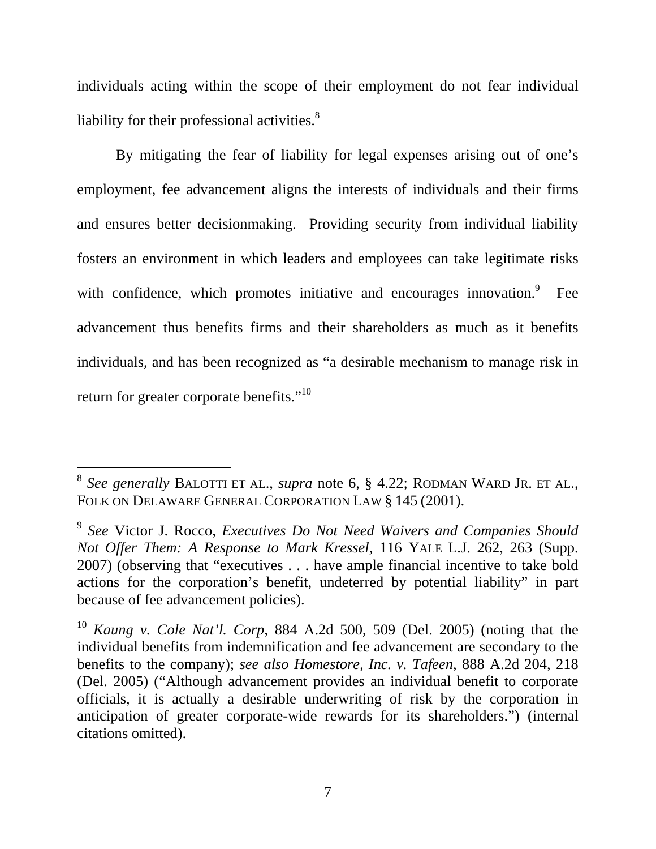individuals acting within the scope of their employment do not fear individual liability for their professional activities. $8<sup>8</sup>$ 

By mitigating the fear of liability for legal expenses arising out of one's employment, fee advancement aligns the interests of individuals and their firms and ensures better decisionmaking. Providing security from individual liability fosters an environment in which leaders and employees can take legitimate risks with confidence, which promotes initiative and encourages innovation.<sup>9</sup> Fee advancement thus benefits firms and their shareholders as much as it benefits individuals, and has been recognized as "a desirable mechanism to manage risk in return for greater corporate benefits."<sup>10</sup>

 $\overline{a}$ 

<sup>8</sup> *See generally* BALOTTI ET AL., *supra* note 6, § 4.22; RODMAN WARD JR. ET AL., FOLK ON DELAWARE GENERAL CORPORATION LAW § 145 (2001).

<sup>9</sup> *See* Victor J. Rocco, *Executives Do Not Need Waivers and Companies Should Not Offer Them: A Response to Mark Kressel*, 116 YALE L.J. 262, 263 (Supp. 2007) (observing that "executives . . . have ample financial incentive to take bold actions for the corporation's benefit, undeterred by potential liability" in part because of fee advancement policies).

<sup>10</sup> *Kaung v. Cole Nat'l. Corp*, 884 A.2d 500, 509 (Del. 2005) (noting that the individual benefits from indemnification and fee advancement are secondary to the benefits to the company); *see also Homestore, Inc. v. Tafeen*, 888 A.2d 204, 218 (Del. 2005) ("Although advancement provides an individual benefit to corporate officials, it is actually a desirable underwriting of risk by the corporation in anticipation of greater corporate-wide rewards for its shareholders.") (internal citations omitted).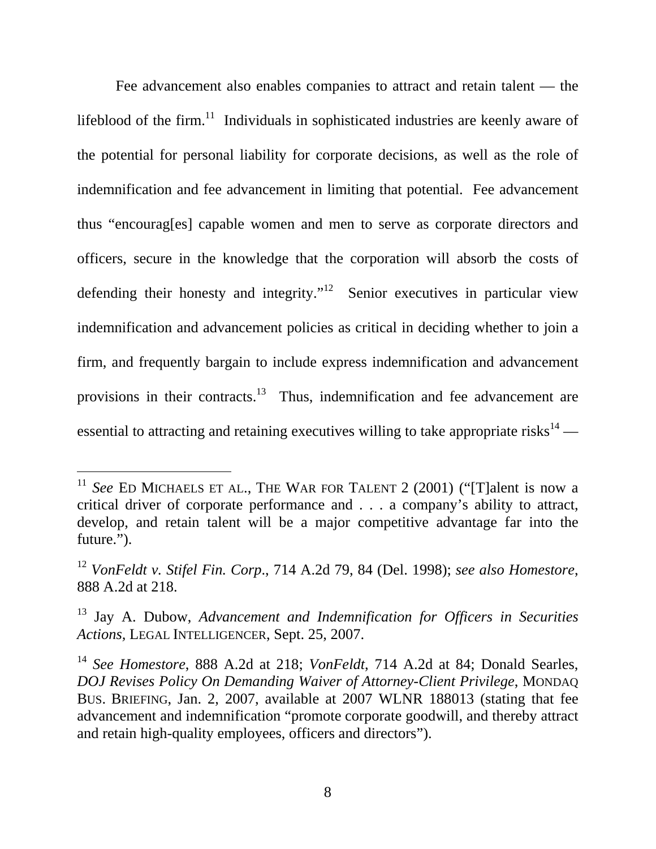Fee advancement also enables companies to attract and retain talent — the lifeblood of the firm.<sup>11</sup> Individuals in sophisticated industries are keenly aware of the potential for personal liability for corporate decisions, as well as the role of indemnification and fee advancement in limiting that potential. Fee advancement thus "encourag[es] capable women and men to serve as corporate directors and officers, secure in the knowledge that the corporation will absorb the costs of defending their honesty and integrity."<sup>12</sup> Senior executives in particular view indemnification and advancement policies as critical in deciding whether to join a firm, and frequently bargain to include express indemnification and advancement provisions in their contracts.<sup>13</sup> Thus, indemnification and fee advancement are essential to attracting and retaining executives willing to take appropriate risks $14$  —

<sup>&</sup>lt;sup>11</sup> See ED MICHAELS ET AL., THE WAR FOR TALENT 2 (2001) ("[T]alent is now a critical driver of corporate performance and . . . a company's ability to attract, develop, and retain talent will be a major competitive advantage far into the future.").

<sup>12</sup> *VonFeldt v. Stifel Fin. Corp*., 714 A.2d 79, 84 (Del. 1998); *see also Homestore*, 888 A.2d at 218.

<sup>13</sup> Jay A. Dubow, *Advancement and Indemnification for Officers in Securities Actions,* LEGAL INTELLIGENCER, Sept. 25, 2007.

<sup>14</sup> *See Homestore*, 888 A.2d at 218; *VonFeldt*, 714 A.2d at 84; Donald Searles, *DOJ Revises Policy On Demanding Waiver of Attorney-Client Privilege*, MONDAQ BUS. BRIEFING, Jan. 2, 2007, available at 2007 WLNR 188013 (stating that fee advancement and indemnification "promote corporate goodwill, and thereby attract and retain high-quality employees, officers and directors").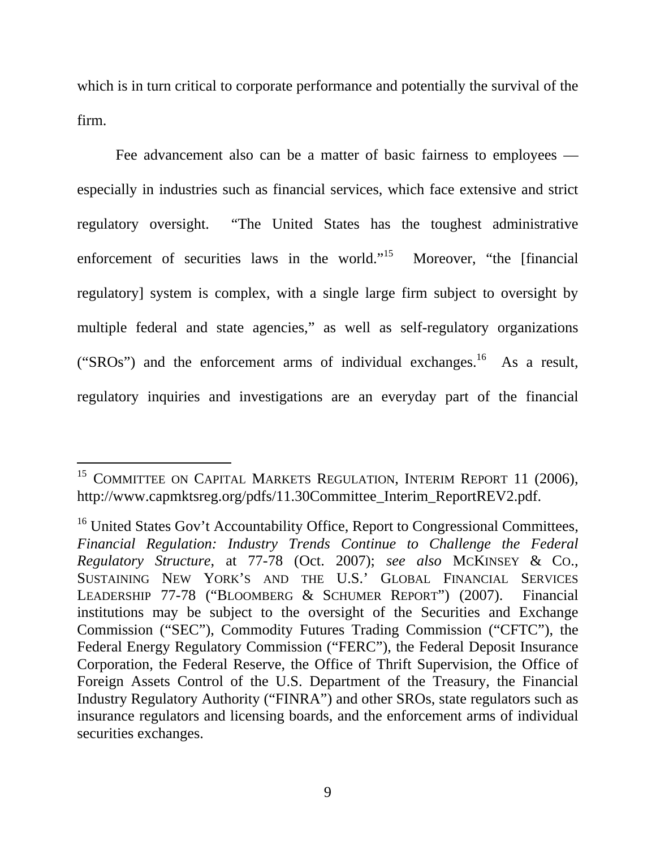which is in turn critical to corporate performance and potentially the survival of the firm.

Fee advancement also can be a matter of basic fairness to employees especially in industries such as financial services, which face extensive and strict regulatory oversight. "The United States has the toughest administrative enforcement of securities laws in the world."<sup>15</sup> Moreover, "the [financial regulatory] system is complex, with a single large firm subject to oversight by multiple federal and state agencies," as well as self-regulatory organizations ("SROs") and the enforcement arms of individual exchanges.<sup>16</sup> As a result, regulatory inquiries and investigations are an everyday part of the financial

 $\overline{a}$ 

<sup>&</sup>lt;sup>15</sup> COMMITTEE ON CAPITAL MARKETS REGULATION, INTERIM REPORT 11 (2006), http://www.capmktsreg.org/pdfs/11.30Committee\_Interim\_ReportREV2.pdf.

<sup>&</sup>lt;sup>16</sup> United States Gov't Accountability Office, Report to Congressional Committees, *Financial Regulation: Industry Trends Continue to Challenge the Federal Regulatory Structure*, at 77-78 (Oct. 2007); *see also* MCKINSEY & CO., SUSTAINING NEW YORK'S AND THE U.S.' GLOBAL FINANCIAL SERVICES LEADERSHIP 77-78 ("BLOOMBERG & SCHUMER REPORT") (2007). Financial institutions may be subject to the oversight of the Securities and Exchange Commission ("SEC"), Commodity Futures Trading Commission ("CFTC"), the Federal Energy Regulatory Commission ("FERC"), the Federal Deposit Insurance Corporation, the Federal Reserve, the Office of Thrift Supervision, the Office of Foreign Assets Control of the U.S. Department of the Treasury, the Financial Industry Regulatory Authority ("FINRA") and other SROs, state regulators such as insurance regulators and licensing boards, and the enforcement arms of individual securities exchanges.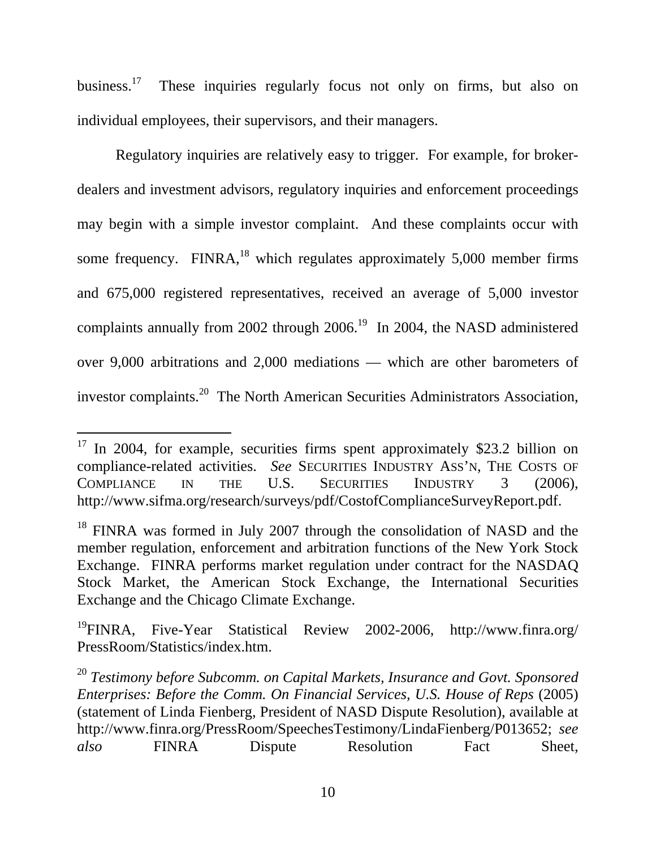business.<sup>17</sup> These inquiries regularly focus not only on firms, but also on individual employees, their supervisors, and their managers.

Regulatory inquiries are relatively easy to trigger. For example, for brokerdealers and investment advisors, regulatory inquiries and enforcement proceedings may begin with a simple investor complaint. And these complaints occur with some frequency. FINRA, $^{18}$  which regulates approximately 5,000 member firms and 675,000 registered representatives, received an average of 5,000 investor complaints annually from 2002 through 2006.<sup>19</sup> In 2004, the NASD administered over 9,000 arbitrations and 2,000 mediations — which are other barometers of investor complaints.20 The North American Securities Administrators Association,

 $\overline{a}$ 

 $17$  In 2004, for example, securities firms spent approximately \$23.2 billion on compliance-related activities. *See* SECURITIES INDUSTRY ASS'N, THE COSTS OF COMPLIANCE IN THE U.S. SECURITIES INDUSTRY 3 (2006), http://www.sifma.org/research/surveys/pdf/CostofComplianceSurveyReport.pdf.

<sup>&</sup>lt;sup>18</sup> FINRA was formed in July 2007 through the consolidation of NASD and the member regulation, enforcement and arbitration functions of the New York Stock Exchange. FINRA performs market regulation under contract for the NASDAQ Stock Market, the American Stock Exchange, the International Securities Exchange and the Chicago Climate Exchange.

<sup>19</sup>FINRA, Five-Year Statistical Review 2002-2006, http://www.finra.org/ PressRoom/Statistics/index.htm.

<sup>20</sup> *Testimony before Subcomm. on Capital Markets, Insurance and Govt. Sponsored Enterprises: Before the Comm. On Financial Services, U.S. House of Reps (2005)* (statement of Linda Fienberg, President of NASD Dispute Resolution), available at http://www.finra.org/PressRoom/SpeechesTestimony/LindaFienberg/P013652; *see also* FINRA Dispute Resolution Fact Sheet,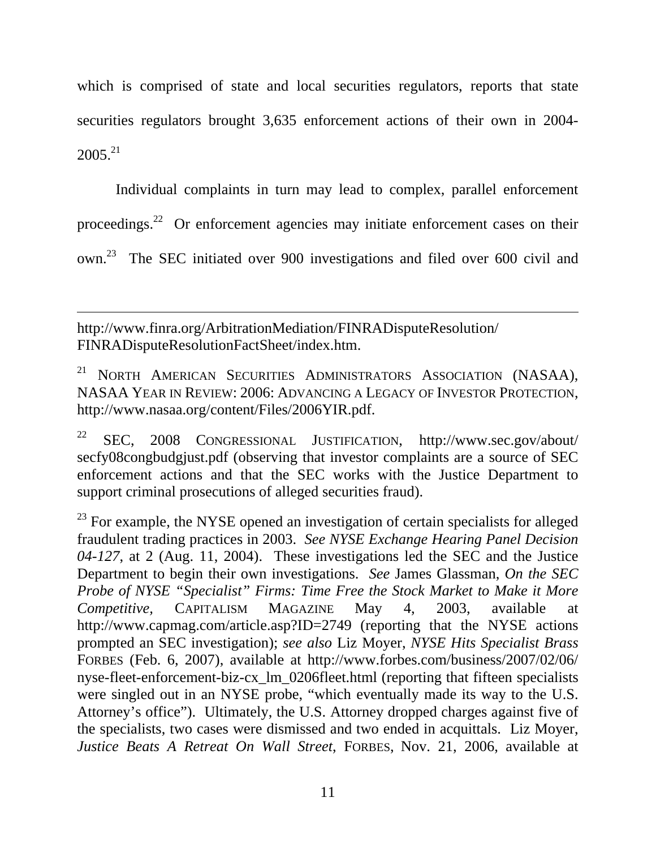which is comprised of state and local securities regulators, reports that state securities regulators brought 3,635 enforcement actions of their own in 2004-  $2005.<sup>21</sup>$ 

Individual complaints in turn may lead to complex, parallel enforcement proceedings.22 Or enforcement agencies may initiate enforcement cases on their own.23 The SEC initiated over 900 investigations and filed over 600 civil and

http://www.finra.org/ArbitrationMediation/FINRADisputeResolution/ FINRADisputeResolutionFactSheet/index.htm.

 $\overline{a}$ 

<sup>21</sup> NORTH AMERICAN SECURITIES ADMINISTRATORS ASSOCIATION (NASAA), NASAA YEAR IN REVIEW: 2006: ADVANCING A LEGACY OF INVESTOR PROTECTION, http://www.nasaa.org/content/Files/2006YIR.pdf.

22 SEC, 2008 CONGRESSIONAL JUSTIFICATION, http://www.sec.gov/about/ secfy08congbudgjust.pdf (observing that investor complaints are a source of SEC enforcement actions and that the SEC works with the Justice Department to support criminal prosecutions of alleged securities fraud).

 $23$  For example, the NYSE opened an investigation of certain specialists for alleged fraudulent trading practices in 2003. *See NYSE Exchange Hearing Panel Decision 04-127*, at 2 (Aug. 11, 2004). These investigations led the SEC and the Justice Department to begin their own investigations. *See* James Glassman, *On the SEC Probe of NYSE "Specialist" Firms: Time Free the Stock Market to Make it More Competitive,* CAPITALISM MAGAZINE May 4, 2003, available at http://www.capmag.com/article.asp?ID=2749 (reporting that the NYSE actions prompted an SEC investigation); *see also* Liz Moyer, *NYSE Hits Specialist Brass* FORBES (Feb. 6, 2007), available at http://www.forbes.com/business/2007/02/06/ nyse-fleet-enforcement-biz-cx\_lm\_0206fleet.html (reporting that fifteen specialists were singled out in an NYSE probe, "which eventually made its way to the U.S. Attorney's office"). Ultimately, the U.S. Attorney dropped charges against five of the specialists, two cases were dismissed and two ended in acquittals. Liz Moyer, *Justice Beats A Retreat On Wall Street*, FORBES, Nov. 21, 2006, available at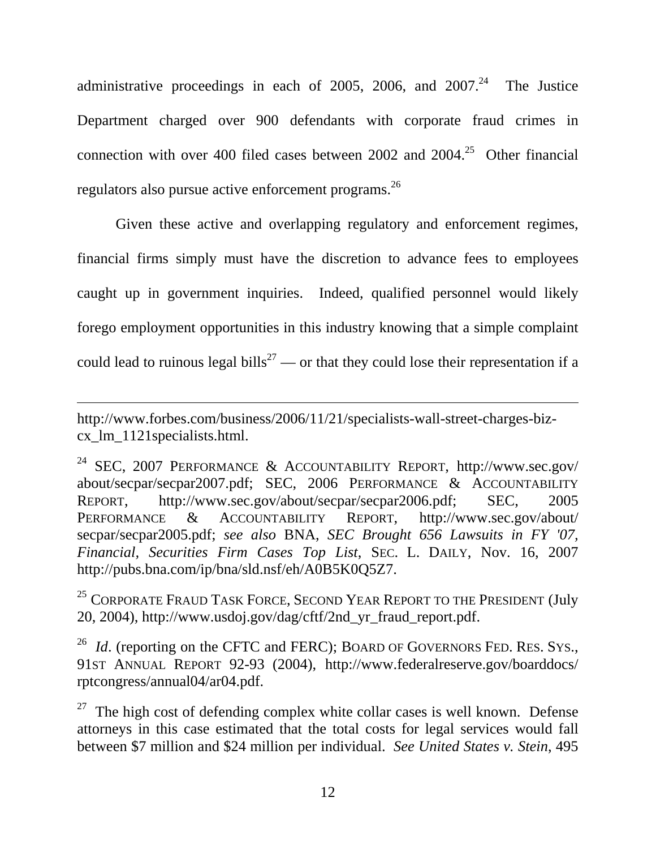administrative proceedings in each of 2005, 2006, and  $2007<sup>24</sup>$  The Justice Department charged over 900 defendants with corporate fraud crimes in connection with over 400 filed cases between 2002 and  $2004<sup>25</sup>$  Other financial regulators also pursue active enforcement programs.<sup>26</sup>

Given these active and overlapping regulatory and enforcement regimes, financial firms simply must have the discretion to advance fees to employees caught up in government inquiries. Indeed, qualified personnel would likely forego employment opportunities in this industry knowing that a simple complaint could lead to ruinous legal bills<sup>27</sup> — or that they could lose their representation if a

http://www.forbes.com/business/2006/11/21/specialists-wall-street-charges-bizcx\_lm\_1121specialists.html.

-

<sup>24</sup> SEC, 2007 PERFORMANCE & ACCOUNTABILITY REPORT, http://www.sec.gov/ about/secpar/secpar2007.pdf; SEC, 2006 PERFORMANCE & ACCOUNTABILITY REPORT, http://www.sec.gov/about/secpar/secpar2006.pdf; SEC, 2005 PERFORMANCE & ACCOUNTABILITY REPORT, http://www.sec.gov/about/ secpar/secpar2005.pdf; *see also* BNA, *SEC Brought 656 Lawsuits in FY '07, Financial, Securities Firm Cases Top List*, SEC. L. DAILY, Nov. 16, 2007 http://pubs.bna.com/ip/bna/sld.nsf/eh/A0B5K0Q5Z7.

<sup>25</sup> CORPORATE FRAUD TASK FORCE, SECOND YEAR REPORT TO THE PRESIDENT (July 20, 2004), http://www.usdoj.gov/dag/cftf/2nd\_yr\_fraud\_report.pdf.

<sup>26</sup> *Id.* (reporting on the CFTC and FERC); BOARD OF GOVERNORS FED. RES. SYS., 91ST ANNUAL REPORT 92-93 (2004), http://www.federalreserve.gov/boarddocs/ rptcongress/annual04/ar04.pdf.

 $27$  The high cost of defending complex white collar cases is well known. Defense attorneys in this case estimated that the total costs for legal services would fall between \$7 million and \$24 million per individual. *See United States v. Stein*, 495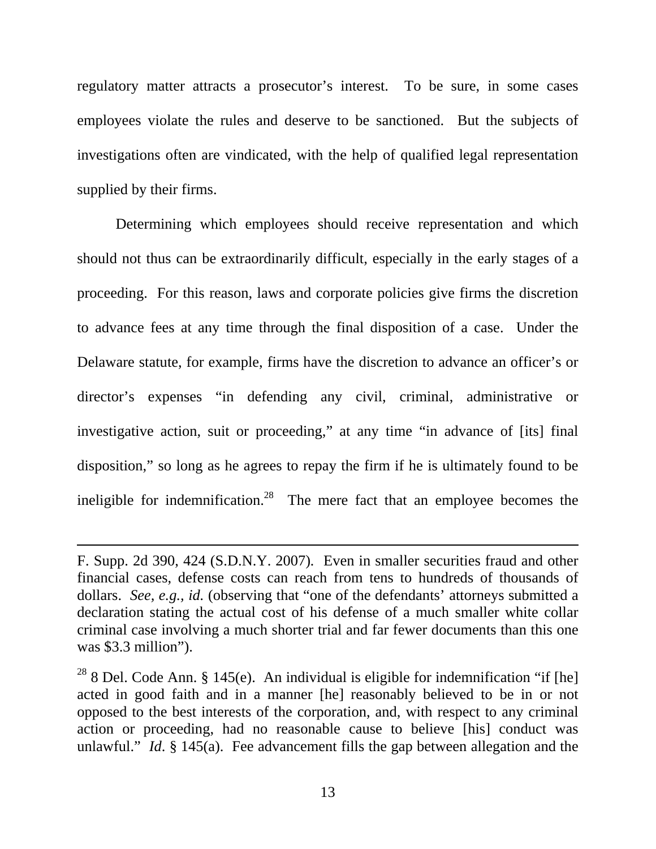regulatory matter attracts a prosecutor's interest. To be sure, in some cases employees violate the rules and deserve to be sanctioned. But the subjects of investigations often are vindicated, with the help of qualified legal representation supplied by their firms.

Determining which employees should receive representation and which should not thus can be extraordinarily difficult, especially in the early stages of a proceeding. For this reason, laws and corporate policies give firms the discretion to advance fees at any time through the final disposition of a case. Under the Delaware statute, for example, firms have the discretion to advance an officer's or director's expenses "in defending any civil, criminal, administrative or investigative action, suit or proceeding," at any time "in advance of [its] final disposition," so long as he agrees to repay the firm if he is ultimately found to be ineligible for indemnification.<sup>28</sup> The mere fact that an employee becomes the

F. Supp. 2d 390, 424 (S.D.N.Y. 2007)*.* Even in smaller securities fraud and other financial cases, defense costs can reach from tens to hundreds of thousands of dollars. *See, e.g., id.* (observing that "one of the defendants' attorneys submitted a declaration stating the actual cost of his defense of a much smaller white collar criminal case involving a much shorter trial and far fewer documents than this one was \$3.3 million").

<sup>&</sup>lt;sup>28</sup> 8 Del. Code Ann. § 145(e). An individual is eligible for indemnification "if [he] acted in good faith and in a manner [he] reasonably believed to be in or not opposed to the best interests of the corporation, and, with respect to any criminal action or proceeding, had no reasonable cause to believe [his] conduct was unlawful." *Id*. § 145(a). Fee advancement fills the gap between allegation and the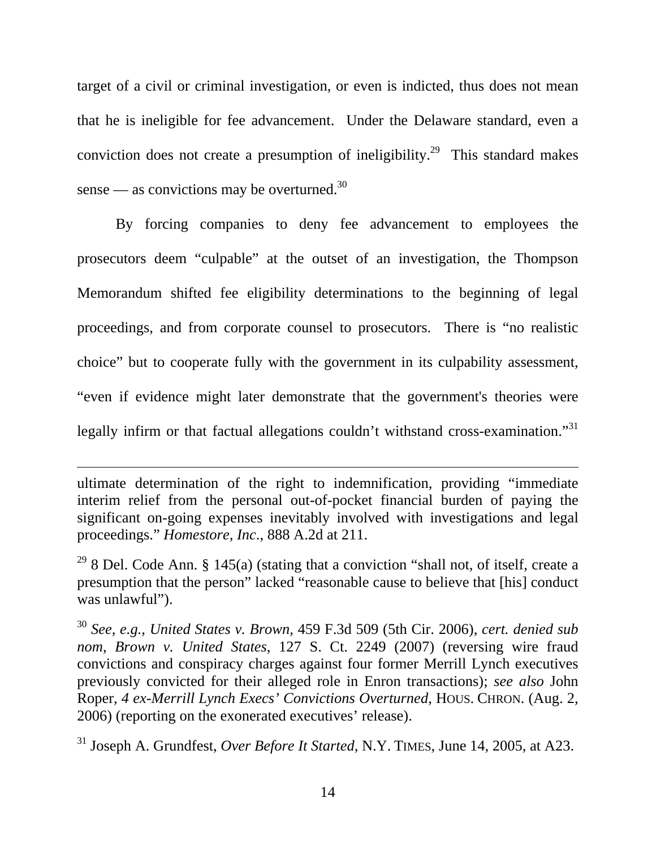target of a civil or criminal investigation, or even is indicted, thus does not mean that he is ineligible for fee advancement. Under the Delaware standard, even a conviction does not create a presumption of ineligibility.<sup>29</sup> This standard makes sense — as convictions may be overturned.<sup>30</sup>

By forcing companies to deny fee advancement to employees the prosecutors deem "culpable" at the outset of an investigation, the Thompson Memorandum shifted fee eligibility determinations to the beginning of legal proceedings, and from corporate counsel to prosecutors. There is "no realistic choice" but to cooperate fully with the government in its culpability assessment, "even if evidence might later demonstrate that the government's theories were legally infirm or that factual allegations couldn't withstand cross-examination."31

ultimate determination of the right to indemnification, providing "immediate interim relief from the personal out-of-pocket financial burden of paying the significant on-going expenses inevitably involved with investigations and legal proceedings." *Homestore, Inc*., 888 A.2d at 211.

 $\overline{a}$ 

<sup>29</sup> 8 Del. Code Ann. § 145(a) (stating that a conviction "shall not, of itself, create a presumption that the person" lacked "reasonable cause to believe that [his] conduct was unlawful").

<sup>30</sup> *See, e.g., United States v. Brown,* 459 F.3d 509 (5th Cir. 2006), *cert. denied sub nom*, *Brown v. United States*, 127 S. Ct. 2249 (2007) (reversing wire fraud convictions and conspiracy charges against four former Merrill Lynch executives previously convicted for their alleged role in Enron transactions); *see also* John Roper, *4 ex-Merrill Lynch Execs' Convictions Overturned*, HOUS. CHRON. (Aug. 2, 2006) (reporting on the exonerated executives' release).

31 Joseph A. Grundfest, *Over Before It Started*, N.Y. TIMES, June 14, 2005, at A23.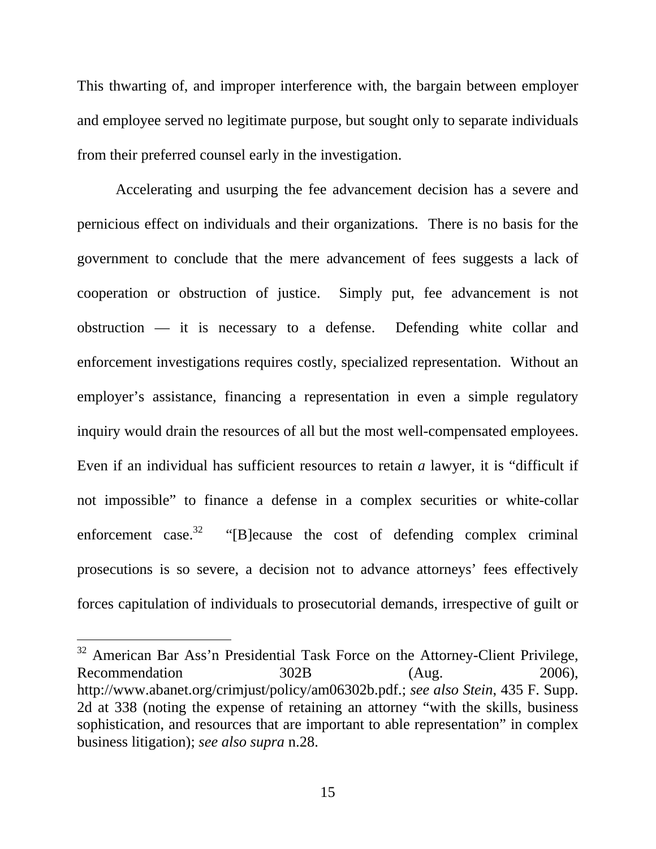This thwarting of, and improper interference with, the bargain between employer and employee served no legitimate purpose, but sought only to separate individuals from their preferred counsel early in the investigation.

Accelerating and usurping the fee advancement decision has a severe and pernicious effect on individuals and their organizations. There is no basis for the government to conclude that the mere advancement of fees suggests a lack of cooperation or obstruction of justice. Simply put, fee advancement is not obstruction — it is necessary to a defense. Defending white collar and enforcement investigations requires costly, specialized representation. Without an employer's assistance, financing a representation in even a simple regulatory inquiry would drain the resources of all but the most well-compensated employees. Even if an individual has sufficient resources to retain *a* lawyer, it is "difficult if not impossible" to finance a defense in a complex securities or white-collar enforcement case.<sup>32</sup> "[B]ecause the cost of defending complex criminal prosecutions is so severe, a decision not to advance attorneys' fees effectively forces capitulation of individuals to prosecutorial demands, irrespective of guilt or

<sup>&</sup>lt;sup>32</sup> American Bar Ass'n Presidential Task Force on the Attorney-Client Privilege, Recommendation 302B (Aug. 2006), http://www.abanet.org/crimjust/policy/am06302b.pdf.; *see also Stein*, 435 F. Supp. 2d at 338 (noting the expense of retaining an attorney "with the skills, business sophistication, and resources that are important to able representation" in complex business litigation); *see also supra* n.28.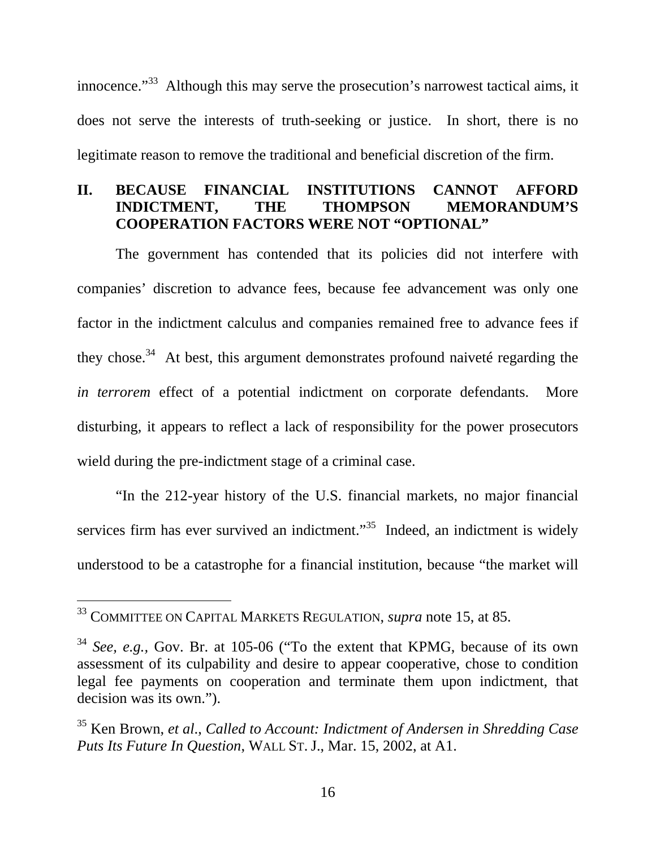innocence."<sup>33</sup> Although this may serve the prosecution's narrowest tactical aims, it does not serve the interests of truth-seeking or justice. In short, there is no legitimate reason to remove the traditional and beneficial discretion of the firm.

#### **II. BECAUSE FINANCIAL INSTITUTIONS CANNOT AFFORD INDICTMENT, THE THOMPSON MEMORANDUM'S COOPERATION FACTORS WERE NOT "OPTIONAL"**

 The government has contended that its policies did not interfere with companies' discretion to advance fees, because fee advancement was only one factor in the indictment calculus and companies remained free to advance fees if they chose. $34$  At best, this argument demonstrates profound naiveté regarding the *in terrorem* effect of a potential indictment on corporate defendants. More disturbing, it appears to reflect a lack of responsibility for the power prosecutors wield during the pre-indictment stage of a criminal case.

"In the 212-year history of the U.S. financial markets, no major financial services firm has ever survived an indictment. $\frac{35}{100}$  Indeed, an indictment is widely understood to be a catastrophe for a financial institution, because "the market will

<sup>33</sup> COMMITTEE ON CAPITAL MARKETS REGULATION, *supra* note 15, at 85.

<sup>34</sup> *See, e.g.,* Gov. Br. at 105-06 ("To the extent that KPMG, because of its own assessment of its culpability and desire to appear cooperative, chose to condition legal fee payments on cooperation and terminate them upon indictment, that decision was its own.").

<sup>35</sup> Ken Brown, *et al*., *Called to Account: Indictment of Andersen in Shredding Case Puts Its Future In Question*, WALL ST. J., Mar. 15, 2002, at A1.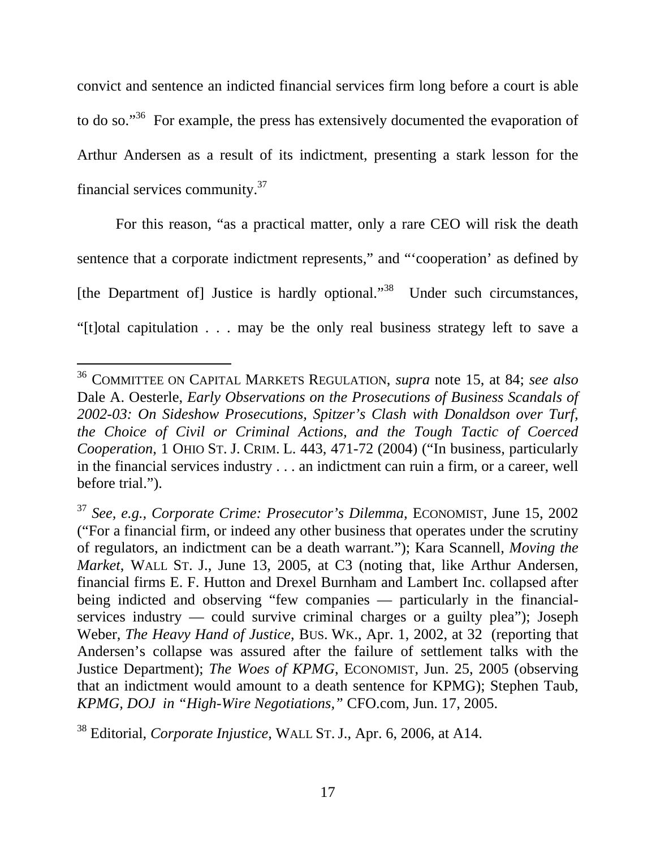convict and sentence an indicted financial services firm long before a court is able to do so."36 For example, the press has extensively documented the evaporation of Arthur Andersen as a result of its indictment, presenting a stark lesson for the financial services community.37

 For this reason, "as a practical matter, only a rare CEO will risk the death sentence that a corporate indictment represents," and "'cooperation' as defined by [the Department of] Justice is hardly optional."<sup>38</sup> Under such circumstances, "[t]otal capitulation . . . may be the only real business strategy left to save a

l

<sup>36</sup> COMMITTEE ON CAPITAL MARKETS REGULATION, *supra* note 15, at 84; *see also* Dale A. Oesterle, *Early Observations on the Prosecutions of Business Scandals of 2002-03: On Sideshow Prosecutions, Spitzer's Clash with Donaldson over Turf, the Choice of Civil or Criminal Actions, and the Tough Tactic of Coerced Cooperation*, 1 OHIO ST. J. CRIM. L. 443, 471-72 (2004) ("In business, particularly in the financial services industry . . . an indictment can ruin a firm, or a career, well before trial.").

<sup>37</sup> *See, e.g., Corporate Crime: Prosecutor's Dilemma,* ECONOMIST, June 15, 2002 ("For a financial firm, or indeed any other business that operates under the scrutiny of regulators, an indictment can be a death warrant."); Kara Scannell, *Moving the Market*, WALL ST. J., June 13, 2005, at C3 (noting that, like Arthur Andersen, financial firms E. F. Hutton and Drexel Burnham and Lambert Inc. collapsed after being indicted and observing "few companies — particularly in the financialservices industry — could survive criminal charges or a guilty plea"); Joseph Weber, *The Heavy Hand of Justice*, BUS. WK., Apr. 1, 2002, at 32 (reporting that Andersen's collapse was assured after the failure of settlement talks with the Justice Department); *The Woes of KPMG*, ECONOMIST, Jun. 25, 2005 (observing that an indictment would amount to a death sentence for KPMG); Stephen Taub, *KPMG, DOJ in "High-Wire Negotiations,"* CFO.com, Jun. 17, 2005.

<sup>38</sup> Editorial, *Corporate Injustice*, WALL ST. J., Apr. 6, 2006, at A14.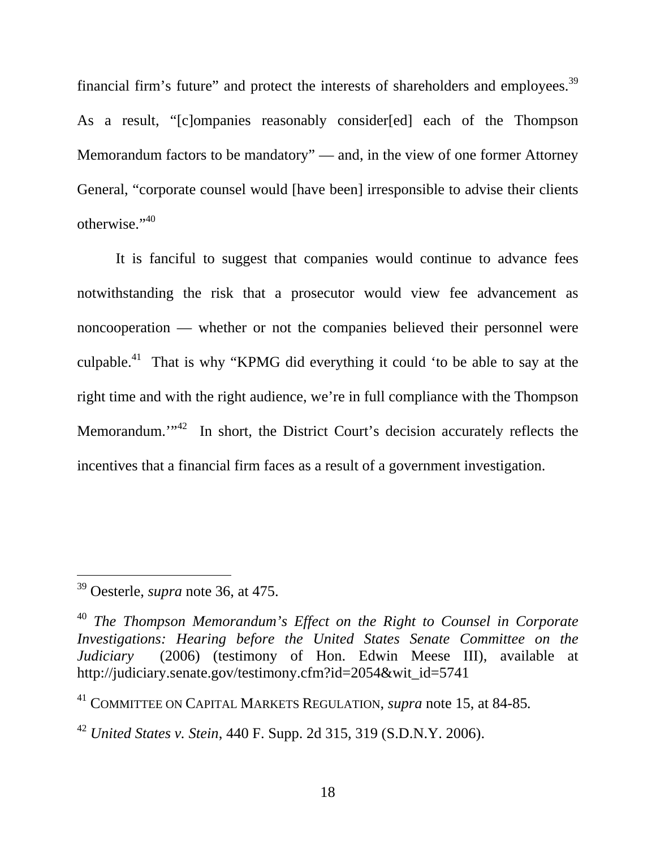financial firm's future" and protect the interests of shareholders and employees.39 As a result, "[c]ompanies reasonably consider[ed] each of the Thompson Memorandum factors to be mandatory" — and, in the view of one former Attorney General, "corporate counsel would [have been] irresponsible to advise their clients otherwise."<sup>40</sup>

 It is fanciful to suggest that companies would continue to advance fees notwithstanding the risk that a prosecutor would view fee advancement as noncooperation — whether or not the companies believed their personnel were culpable.<sup>41</sup> That is why "KPMG did everything it could 'to be able to say at the right time and with the right audience, we're in full compliance with the Thompson Memorandum."<sup>42</sup> In short, the District Court's decision accurately reflects the incentives that a financial firm faces as a result of a government investigation.

 $\overline{a}$ 

<sup>39</sup> Oesterle, *supra* note 36, at 475.

<sup>40</sup> *The Thompson Memorandum's Effect on the Right to Counsel in Corporate Investigations: Hearing before the United States Senate Committee on the Judiciary* (2006) (testimony of Hon. Edwin Meese III), available at http://judiciary.senate.gov/testimony.cfm?id=2054&wit\_id=5741

<sup>41</sup> COMMITTEE ON CAPITAL MARKETS REGULATION, *supra* note 15, at 84-85*.* 

<sup>42</sup> *United States v. Stein*, 440 F. Supp. 2d 315, 319 (S.D.N.Y. 2006).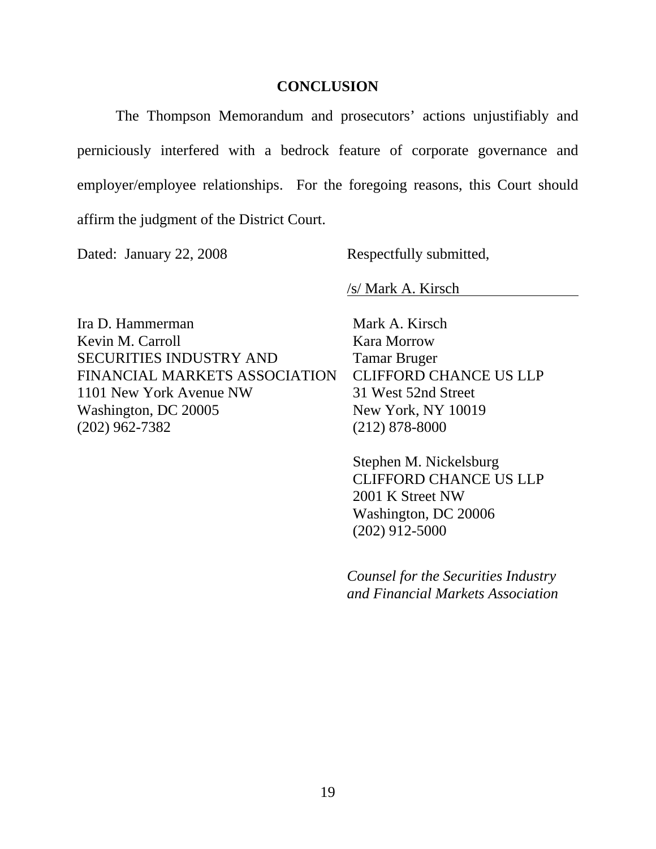#### **CONCLUSION**

 The Thompson Memorandum and prosecutors' actions unjustifiably and perniciously interfered with a bedrock feature of corporate governance and employer/employee relationships. For the foregoing reasons, this Court should affirm the judgment of the District Court.

Dated: January 22, 2008 Respectfully submitted,

/s/ Mark A. Kirsch

Ira D. Hammerman Kevin M. Carroll SECURITIES INDUSTRY AND FINANCIAL MARKETS ASSOCIATION 1101 New York Avenue NW Washington, DC 20005 (202) 962-7382

Mark A. Kirsch Kara Morrow Tamar Bruger CLIFFORD CHANCE US LLP 31 West 52nd Street New York, NY 10019 (212) 878-8000

Stephen M. Nickelsburg CLIFFORD CHANCE US LLP 2001 K Street NW Washington, DC 20006 (202) 912-5000

*Counsel for the Securities Industry and Financial Markets Association*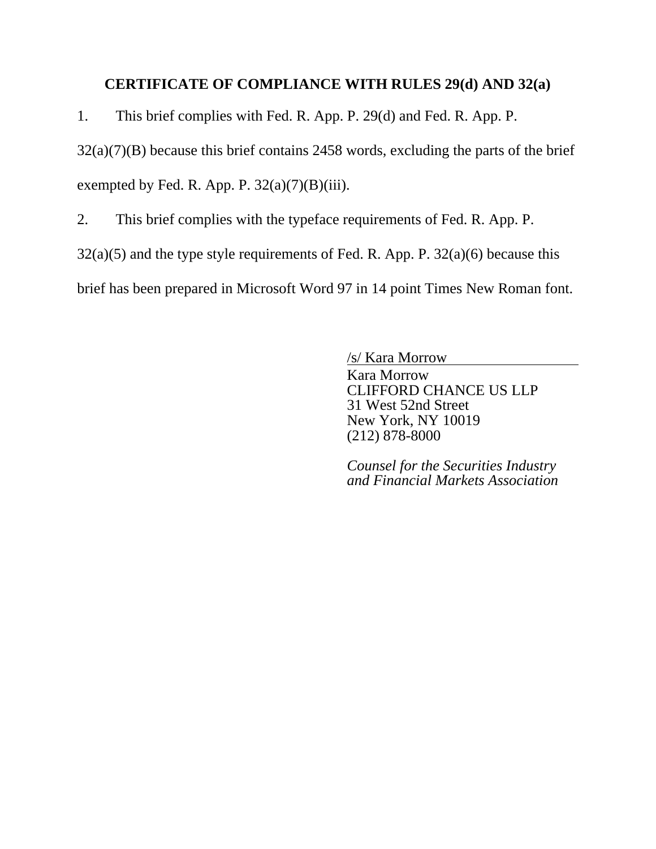#### **CERTIFICATE OF COMPLIANCE WITH RULES 29(d) AND 32(a)**

1. This brief complies with Fed. R. App. P. 29(d) and Fed. R. App. P.

32(a)(7)(B) because this brief contains 2458 words, excluding the parts of the brief

exempted by Fed. R. App. P.  $32(a)(7)(B)(iii)$ .

2. This brief complies with the typeface requirements of Fed. R. App. P.

 $32(a)(5)$  and the type style requirements of Fed. R. App. P.  $32(a)(6)$  because this

brief has been prepared in Microsoft Word 97 in 14 point Times New Roman font.

/s/ Kara Morrow

Kara Morrow CLIFFORD CHANCE US LLP 31 West 52nd Street New York, NY 10019 (212) 878-8000

*Counsel for the Securities Industry and Financial Markets Association*